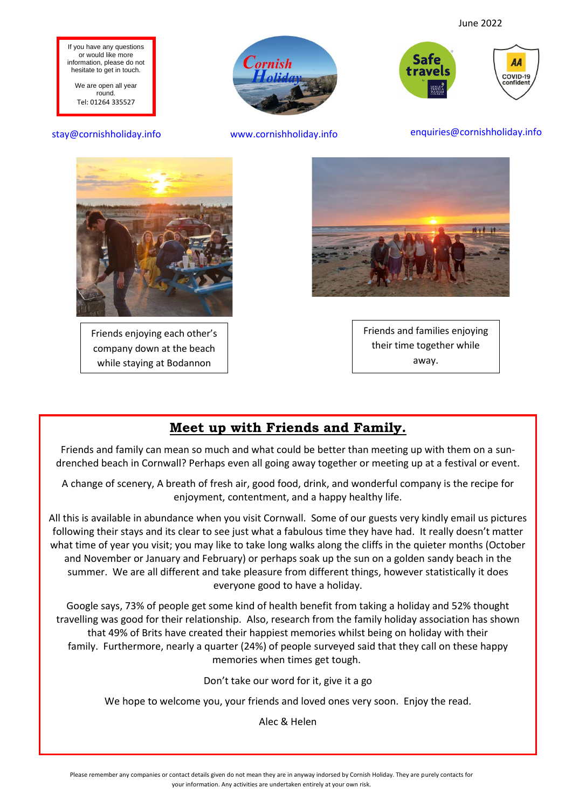AA

COVID-19 onfiden



We are open all year round. Tel: 01264 335527



stay@cornishholiday.info www.cornishholiday.info enquiries@cornishholiday.info



Friends enjoying each other's company down at the beach while staying at Bodannon



Safe

travels

Friends and families enjoying their time together while away.

### **Meet up with Friends and Family.**

Friends and family can mean so much and what could be better than meeting up with them on a sundrenched beach in Cornwall? Perhaps even all going away together or meeting up at a festival or event.

A change of scenery, A breath of fresh air, good food, drink, and wonderful company is the recipe for enjoyment, contentment, and a happy healthy life.

All this is available in abundance when you visit Cornwall. Some of our guests very kindly email us pictures following their stays and its clear to see just what a fabulous time they have had. It really doesn't matter what time of year you visit; you may like to take long walks along the cliffs in the quieter months (October and November or January and February) or perhaps soak up the sun on a golden sandy beach in the summer. We are all different and take pleasure from different things, however statistically it does everyone good to have a holiday.

Google says, 73% of people get some kind of health benefit from taking a holiday and 52% thought travelling was good for their relationship. Also, research from the family holiday association has shown that 49% of Brits have created their happiest memories whilst being on holiday with their family. Furthermore, nearly a quarter (24%) of people surveyed said that they call on these happy memories when times get tough.

Don't take our word for it, give it a go

We hope to welcome you, your friends and loved ones very soon. Enjoy the read.

Alec & Helen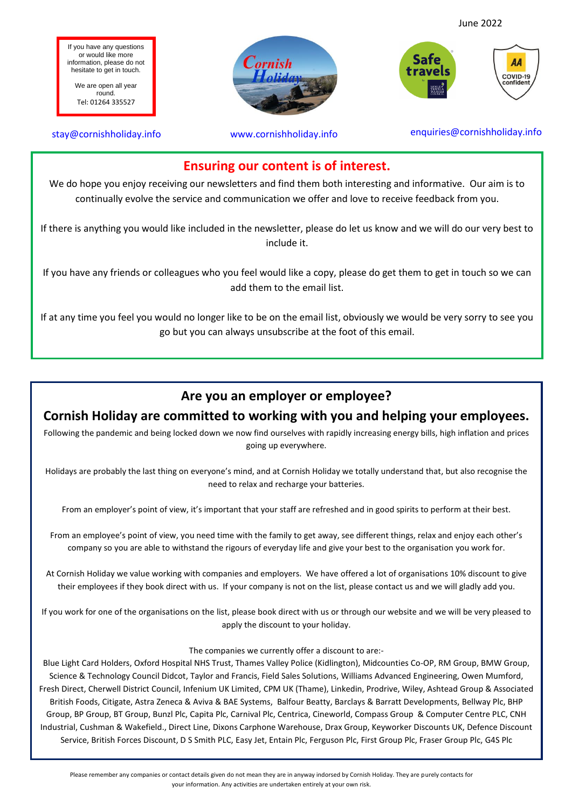June 2022

**AA** COVID-19 onfiden

If you have any questions or would like more information, please do not hesitate to get in touch.

We are open all year round. Tel: 01264 335527

I





### **Ensuring our content is of interest.**

We do hope you enjoy receiving our newsletters and find them both interesting and informative. Our aim is to continually evolve the service and communication we offer and love to receive feedback from you.

If there is anything you would like included in the newsletter, please do let us know and we will do our very best to include it.

If you have any friends or colleagues who you feel would like a copy, please do get them to get in touch so we can add them to the email list.

If at any time you feel you would no longer like to be on the email list, obviously we would be very sorry to see you go but you can always unsubscribe at the foot of this email.

### **Are you an employer or employee?**

### **Cornish Holiday are committed to working with you and helping your employees.**

Following the pandemic and being locked down we now find ourselves with rapidly increasing energy bills, high inflation and prices going up everywhere.

Holidays are probably the last thing on everyone's mind, and at Cornish Holiday we totally understand that, but also recognise the need to relax and recharge your batteries.

From an employer's point of view, it's important that your staff are refreshed and in good spirits to perform at their best.

From an employee's point of view, you need time with the family to get away, see different things, relax and enjoy each other's company so you are able to withstand the rigours of everyday life and give your best to the organisation you work for.

At Cornish Holiday we value working with companies and employers. We have offered a lot of organisations 10% discount to give their employees if they book direct with us. If your company is not on the list, please contact us and we will gladly add you.

If you work for one of the organisations on the list, please book direct with us or through our website and we will be very pleased to apply the discount to your holiday.

The companies we currently offer a discount to are:-

Blue Light Card Holders, Oxford Hospital NHS Trust, Thames Valley Police (Kidlington), Midcounties Co-OP, RM Group, BMW Group, Science & Technology Council Didcot, Taylor and Francis, Field Sales Solutions, Williams Advanced Engineering, Owen Mumford, Fresh Direct, Cherwell District Council, Infenium UK Limited, CPM UK (Thame), Linkedin, Prodrive, Wiley, Ashtead Group & Associated British Foods, Citigate, Astra Zeneca & Aviva & BAE Systems, Balfour Beatty, Barclays & Barratt Developments, Bellway Plc, BHP Group, BP Group, BT Group, Bunzl Plc, Capita Plc, Carnival Plc, Centrica, Cineworld, Compass Group & Computer Centre PLC, CNH Industrial, Cushman & Wakefield., Direct Line, Dixons Carphone Warehouse, Drax Group, Keyworker Discounts UK, Defence Discount Service, British Forces Discount, D S Smith PLC, Easy Jet, Entain Plc, Ferguson Plc, First Group Plc, Fraser Group Plc, G4S Plc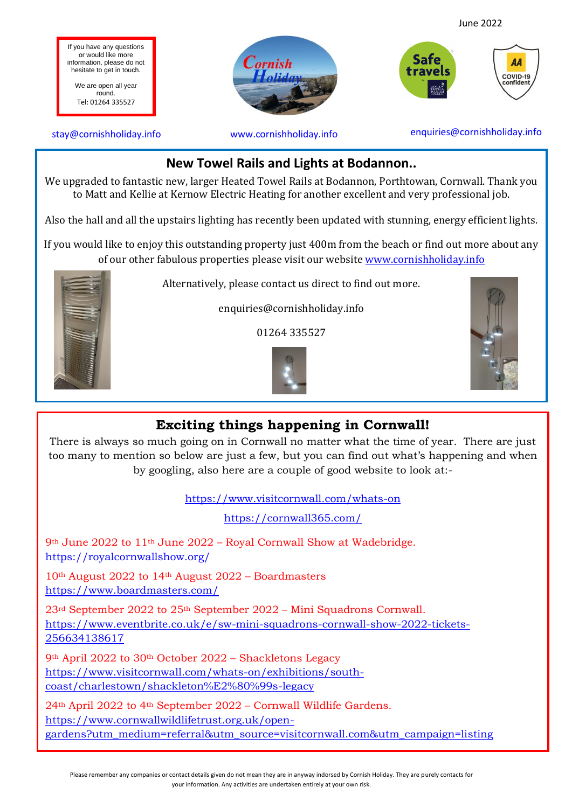

to Matt and Kellie at Kernow Electric Heating for another excellent and very professional job.

Also the hall and all the upstairs lighting has recently been updated with stunning, energy efficient lights.

If you would like to enjoy this outstanding property just 400m from the beach or find out more about any of our other fabulous properties please visit our website [www.cornishholiday.info](https://l.facebook.com/l.php?u=http%3A%2F%2Fwww.cornishholiday.info%2F%3Ffbclid%3DIwAR3Pe53K0Xp71_N7nQKCqj--gXTVGvQNkQS5y9DnTx2csnvaHPwsEkGZ00E&h=AT0KajEm7PWv_DXLMPMucOoI-hYiPAMPrp1Z3Bbcvd6sZRBfAI1C_uXWNIoCSwqOKZq0BHeWhD-h4dkxhFjcJX61UQ-jDftSMZQaMsCpIoEfgcwzE_csqv1fjl02oilqJA&__tn__=-UK-R&c%5b0%5d=AT3Xh53tU33YU0XaPbthdsq_04vxR4wUffZUpKECmJAOuHJ8cD7sQkfC9xGzEmMI2pTo9sT3kOKsnS3KX21bLQB_H5-8I_JD6QAnstmr-ZdtQooVFtu2vBh53fK3M5h9yAhpn_gGRcVBIL9F1kmFLaiEwtO7JxANX_E0Yq78vm-qFQ)



Alternatively, please contact us direct to find out more.

enquiries@cornishholiday.info

01264 335527





### **Exciting things happening in Cornwall!**

There is always so much going on in Cornwall no matter what the time of year. There are just too many to mention so below are just a few, but you can find out what's happening and when by googling, also here are a couple of good website to look at:-

<https://www.visitcornwall.com/whats-on>

<https://cornwall365.com/>

9th June 2022 to 11th June 2022 – Royal Cornwall Show at Wadebridge. <https://royalcornwallshow.org/>

10th August 2022 to 14th August 2022 – Boardmasters <https://www.boardmasters.com/>

23rd September 2022 to 25th September 2022 – Mini Squadrons Cornwall. [https://www.eventbrite.co.uk/e/sw-mini-squadrons-cornwall-show-2022-tickets-](https://www.eventbrite.co.uk/e/sw-mini-squadrons-cornwall-show-2022-tickets-256634138617)[256634138617](https://www.eventbrite.co.uk/e/sw-mini-squadrons-cornwall-show-2022-tickets-256634138617)

9th April 2022 to 30th October 2022 – Shackletons Legacy [https://www.visitcornwall.com/whats-on/exhibitions/south](https://www.visitcornwall.com/whats-on/exhibitions/south-coast/charlestown/shackleton%E2%80%99s-legacy)[coast/charlestown/shackleton%E2%80%99s-legacy](https://www.visitcornwall.com/whats-on/exhibitions/south-coast/charlestown/shackleton%E2%80%99s-legacy)

 [https://www.cornwallwildlifetrust.org.uk/open-](https://www.cornwallwildlifetrust.org.uk/open-gardens?utm_medium=referral&utm_source=visitcornwall.com&utm_campaign=listing)24th April 2022 to 4th September 2022 – Cornwall Wildlife Gardens. [gardens?utm\\_medium=referral&utm\\_source=visitcornwall.com&utm\\_campaign=listing](https://www.cornwallwildlifetrust.org.uk/open-gardens?utm_medium=referral&utm_source=visitcornwall.com&utm_campaign=listing)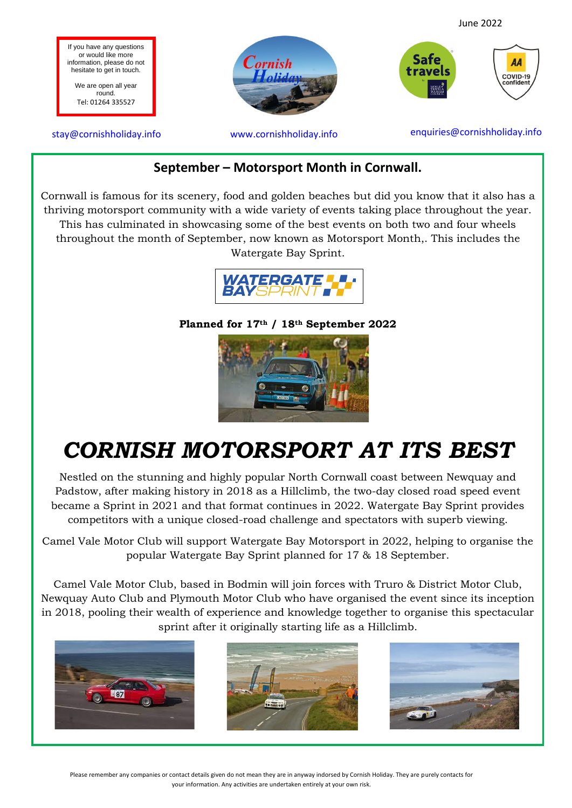

### **September – Motorsport Month in Cornwall.**

Cornwall is famous for its scenery, food and golden beaches but did you know that it also has a thriving motorsport community with a wide variety of events taking place throughout the year. This has culminated in showcasing some of the best events on both two and four wheels throughout the month of September, now known as Motorsport Month,. This includes the Watergate Bay Sprint.



**Planned for 17th / 18th September 2022**



# *CORNISH MOTORSPORT AT ITS BEST*

Nestled on the stunning and highly popular North Cornwall coast between Newquay and Padstow, after making history in 2018 as a Hillclimb, the two-day closed road speed event became a Sprint in 2021 and that format continues in 2022. Watergate Bay Sprint provides competitors with a unique closed-road challenge and spectators with superb viewing.

Camel Vale Motor Club will support Watergate Bay Motorsport in 2022, helping to organise the popular Watergate Bay Sprint planned for 17 & 18 September.

- Newquay Auto Club and Plymouth Motor Club who have organised the event since its inception Camel Vale Motor Club, based in Bodmin will join forces with Truro & District Motor Club, in 2018, pooling their wealth of experience and knowledge together to organise this spectacular sprint after it originally starting life as a Hillclimb.





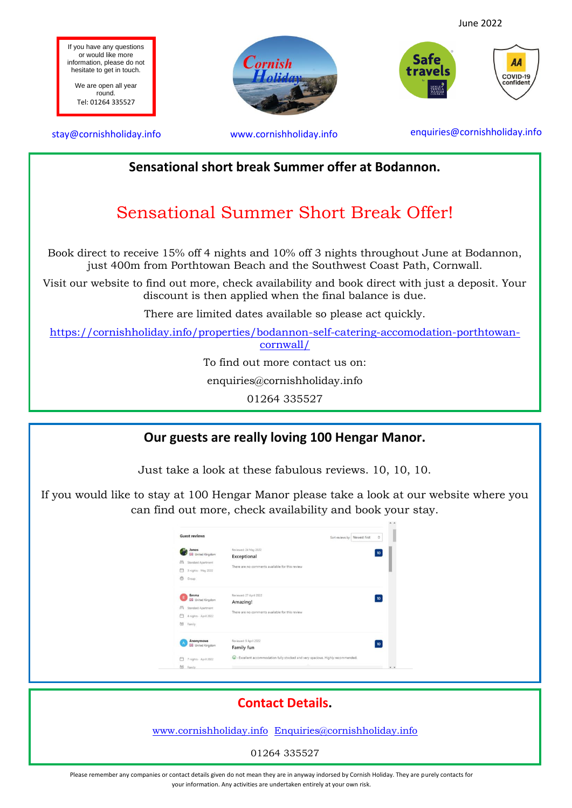



### **Sensational short break Summer offer at Bodannon.**

### Sensational Summer Short Break Offer!

Book direct to receive 15% off 4 nights and 10% off 3 nights throughout June at Bodannon, just 400m from Porthtowan Beach and the Southwest Coast Path, Cornwall.

Visit our website to find out more, check availability and book direct with just a deposit. Your discount is then applied when the final balance is due.

There are limited dates available so please act quickly.

[https://cornishholiday.info/properties/bodannon-self-catering-accomodation-porthtowan](https://cornishholiday.info/properties/bodannon-self-catering-accomodation-porthtowan-cornwall/)[cornwall/](https://cornishholiday.info/properties/bodannon-self-catering-accomodation-porthtowan-cornwall/)

To find out more contact us on:

enquiries@cornishholiday.info

01264 335527

#### **Our guests are really loving 100 Hengar Manor.**

Just take a look at these fabulous reviews. 10, 10, 10.

If you would like to stay at 100 Hengar Manor please take a look at our website where you can find out more, check availability and book your stay.

| <b>Guest reviews</b>                                                                                    | Sort reviews by: Newest first                                                           | Ó  |
|---------------------------------------------------------------------------------------------------------|-----------------------------------------------------------------------------------------|----|
| Janos<br><b>UB</b> United Kingdom<br>户<br>Standard Apartment<br>曲<br>3 nights - May 2022<br>69<br>Group | Reviewed: 24 May 2022<br>Exceptional<br>There are no comments available for this review | 10 |
| Emma<br><b>United Kingdom</b><br>冎<br>Standard Apartment<br>曲<br>4 nights - April 2022<br>88<br>Family  | Reviewed: 27 April 2022<br>Amazing!<br>There are no comments available for this review  | 10 |
| Anonymous<br><b>BB</b> United Kingdom                                                                   | Reviewed: 9 April 2022<br>Family fun                                                    | 10 |
| 7 nights - April 2022                                                                                   | C - Excellent accommodation fully stocked and very spacious. Highly recommended.        |    |
| 88<br>Family                                                                                            |                                                                                         |    |

# **Contact Details.** [www.cornishholiday.info](http://www.cornishholiday.info/) [Enquiries@cornishholiday.info](mailto:Enquiries@cornishholiday.info) 01264 335527

Please remember any companies or contact details given do not mean they are in anyway indorsed by Cornish Holiday. They are purely contacts for your information. Any activities are undertaken entirely at your own risk.